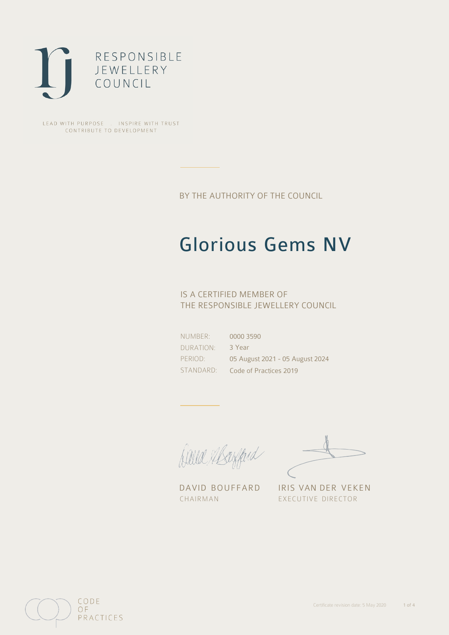

LEAD WITH PURPOSE . INSPIRE WITH TRUST CONTRIBUTE TO DEVELOPMENT

BY THE AUTHORITY OF THE COUNCIL

# Glorious Gems NV

## IS A CERTIFIED MEMBER OF THE RESPONSIBLE JEWELLERY COUNCIL

NUMBER: DURATION: PERIOD: STANDARD: 0000 3590 3 Year 05 August 2021 - 05 August 2024 Code of Practices 2019

Caux Mayfard

DAVID BOUFFARD IRIS VAN DER VEKEN CHAIRMAN EXECUTIVE DIRECTOR

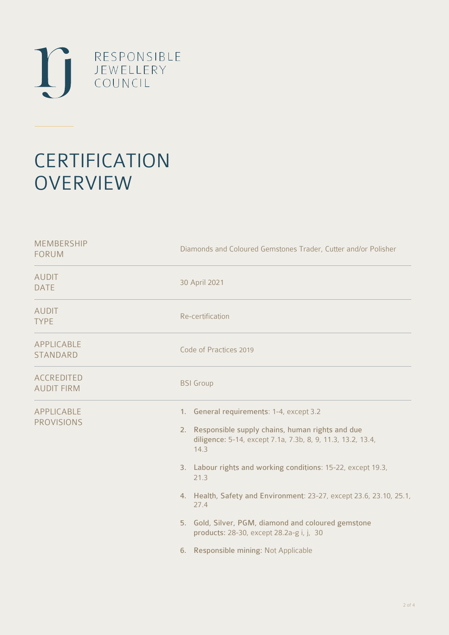

# **CERTIFICATION OVERVIEW**

| Diamonds and Coloured Gemstones Trader, Cutter and/or Polisher                                                                                                                                                                                                                                                                                                                                                                                                              |
|-----------------------------------------------------------------------------------------------------------------------------------------------------------------------------------------------------------------------------------------------------------------------------------------------------------------------------------------------------------------------------------------------------------------------------------------------------------------------------|
| 30 April 2021                                                                                                                                                                                                                                                                                                                                                                                                                                                               |
| Re-certification                                                                                                                                                                                                                                                                                                                                                                                                                                                            |
| Code of Practices 2019                                                                                                                                                                                                                                                                                                                                                                                                                                                      |
| <b>BSI</b> Group                                                                                                                                                                                                                                                                                                                                                                                                                                                            |
| 1. General requirements: 1-4, except 3.2<br>Responsible supply chains, human rights and due<br>2.<br>diligence: 5-14, except 7.1a, 7.3b, 8, 9, 11.3, 13.2, 13.4,<br>14.3<br>3. Labour rights and working conditions: 15-22, except 19.3,<br>21.3<br>4. Health, Safety and Environment: 23-27, except 23.6, 23.10, 25.1,<br>27.4<br>5. Gold, Silver, PGM, diamond and coloured gemstone<br>products: 28-30, except 28.2a-g i, j, 30<br>6. Responsible mining: Not Applicable |
|                                                                                                                                                                                                                                                                                                                                                                                                                                                                             |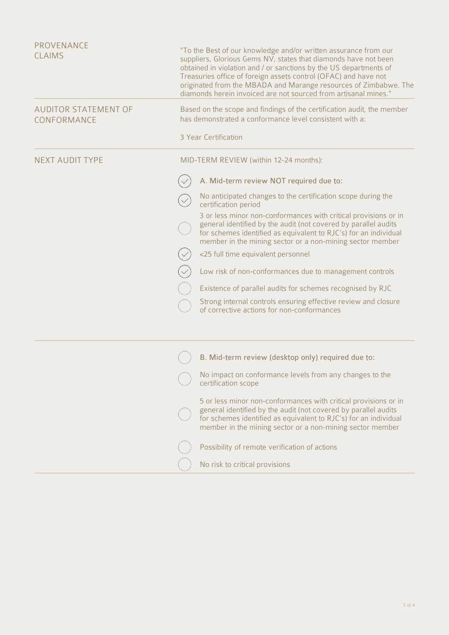| PROVENANCE<br><b>CLAIMS</b>                | "To the Best of our knowledge and/or written assurance from our<br>suppliers, Glorious Gems NV, states that diamonds have not been<br>obtained in violation and / or sanctions by the US departments of<br>Treasuries office of foreign assets control (OFAC) and have not<br>originated from the MBADA and Marange resources of Zimbabwe. The<br>diamonds herein invoiced are not sourced from artisanal mines." |  |
|--------------------------------------------|-------------------------------------------------------------------------------------------------------------------------------------------------------------------------------------------------------------------------------------------------------------------------------------------------------------------------------------------------------------------------------------------------------------------|--|
| <b>AUDITOR STATEMENT OF</b><br>CONFORMANCE | Based on the scope and findings of the certification audit, the member<br>has demonstrated a conformance level consistent with a:                                                                                                                                                                                                                                                                                 |  |
|                                            | 3 Year Certification                                                                                                                                                                                                                                                                                                                                                                                              |  |
| <b>NEXT AUDIT TYPE</b>                     | MID-TERM REVIEW (within 12-24 months):                                                                                                                                                                                                                                                                                                                                                                            |  |
|                                            | A. Mid-term review NOT required due to:                                                                                                                                                                                                                                                                                                                                                                           |  |
|                                            | No anticipated changes to the certification scope during the<br>certification period                                                                                                                                                                                                                                                                                                                              |  |
|                                            | 3 or less minor non-conformances with critical provisions or in<br>general identified by the audit (not covered by parallel audits<br>for schemes identified as equivalent to RJC's) for an individual<br>member in the mining sector or a non-mining sector member                                                                                                                                               |  |
|                                            | <25 full time equivalent personnel                                                                                                                                                                                                                                                                                                                                                                                |  |
|                                            | Low risk of non-conformances due to management controls                                                                                                                                                                                                                                                                                                                                                           |  |
|                                            | Existence of parallel audits for schemes recognised by RJC                                                                                                                                                                                                                                                                                                                                                        |  |
|                                            | Strong internal controls ensuring effective review and closure<br>of corrective actions for non-conformances                                                                                                                                                                                                                                                                                                      |  |
|                                            | B. Mid-term review (desktop only) required due to:                                                                                                                                                                                                                                                                                                                                                                |  |
|                                            | No impact on conformance levels from any changes to the<br>certification scope                                                                                                                                                                                                                                                                                                                                    |  |
|                                            | 5 or less minor non-conformances with critical provisions or in<br>general identified by the audit (not covered by parallel audits<br>for schemes identified as equivalent to RJC's) for an individual<br>member in the mining sector or a non-mining sector member                                                                                                                                               |  |
|                                            | Possibility of remote verification of actions                                                                                                                                                                                                                                                                                                                                                                     |  |
|                                            | No risk to critical provisions                                                                                                                                                                                                                                                                                                                                                                                    |  |